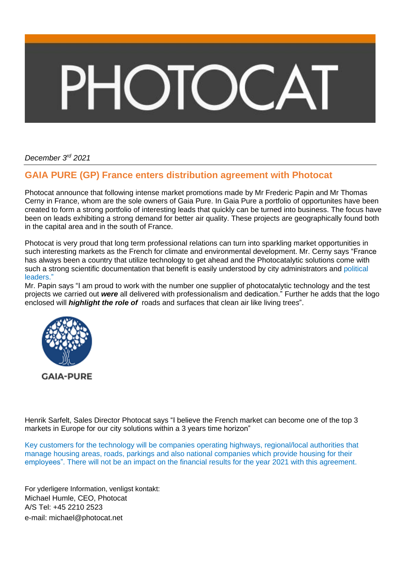## **DIOC**

*December 3 rd 2021*

## **GAIA PURE (GP) France enters distribution agreement with Photocat**

Photocat announce that following intense market promotions made by Mr Frederic Papin and Mr Thomas Cerny in France, whom are the sole owners of Gaia Pure. In Gaia Pure a portfolio of opportunites have been created to form a strong portfolio of interesting leads that quickly can be turned into business. The focus have been on leads exhibiting a strong demand for better air quality. These projects are geographically found both in the capital area and in the south of France.

Photocat is very proud that long term professional relations can turn into sparkling market opportunities in such interesting markets as the French for climate and environmental development. Mr. Cerny says "France has always been a country that utilize technology to get ahead and the Photocatalytic solutions come with such a strong scientific documentation that benefit is easily understood by city administrators and political leaders."

Mr. Papin says "I am proud to work with the number one supplier of photocatalytic technology and the test projects we carried out *were* all delivered with professionalism and dedication." Further he adds that the logo enclosed will *highlight the role of* roads and surfaces that clean air like living tree*s*".



Henrik Sarfelt, Sales Director Photocat says "I believe the French market can become one of the top 3 markets in Europe for our city solutions within a 3 years time horizon"

Key customers for the technology will be companies operating highways, regional/local authorities that manage housing areas, roads, parkings and also national companies which provide housing for their employees". There will not be an impact on the financial results for the year 2021 with this agreement.

For yderligere Information, venligst kontakt: Michael Humle, CEO, Photocat A/S Tel: +45 2210 2523 e-mail: [michael@photocat.net](mailto:michael@photocat.net)